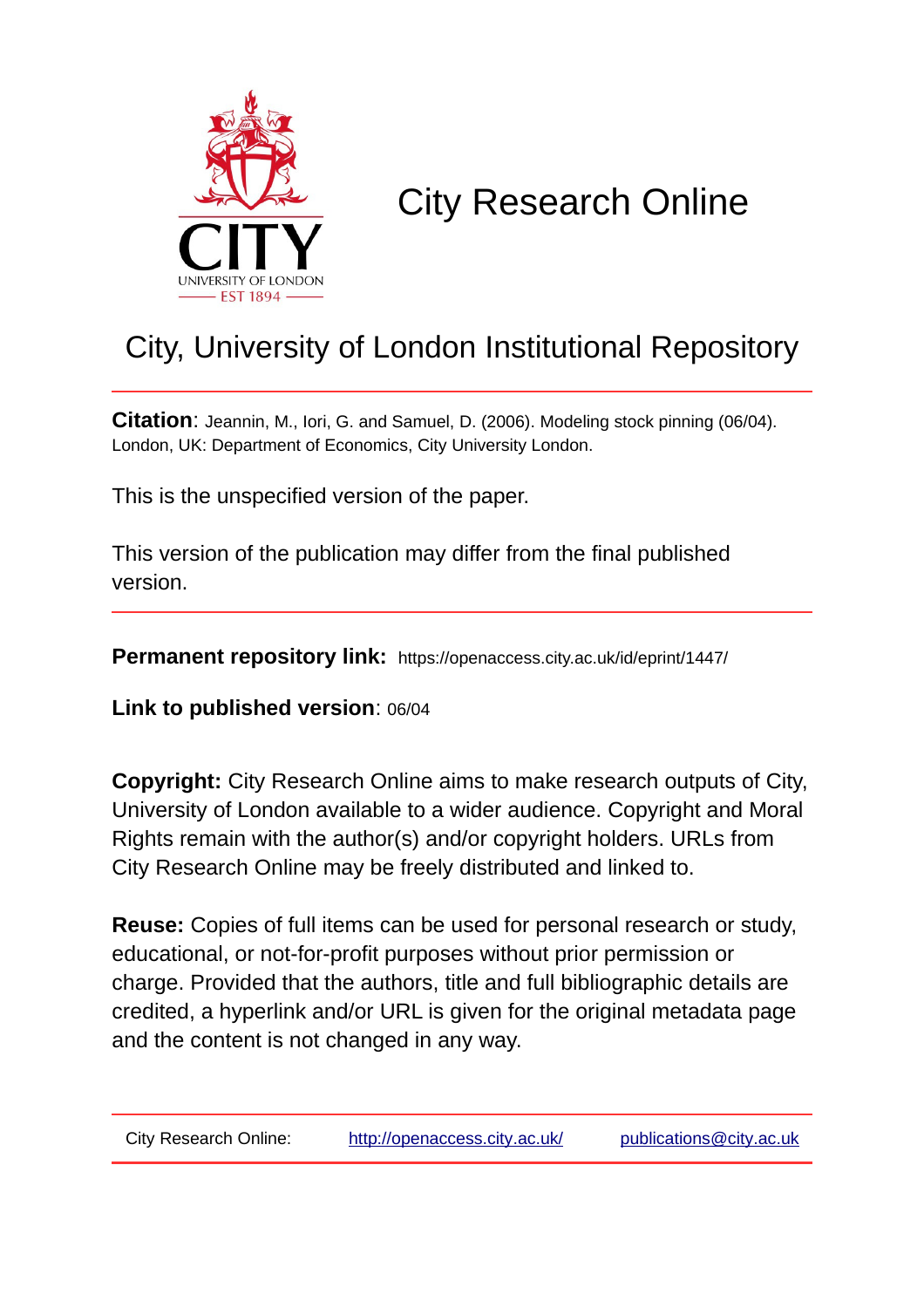

# City Research Online

# City, University of London Institutional Repository

**Citation**: Jeannin, M., Iori, G. and Samuel, D. (2006). Modeling stock pinning (06/04). London, UK: Department of Economics, City University London.

This is the unspecified version of the paper.

This version of the publication may differ from the final published version.

**Permanent repository link:** https://openaccess.city.ac.uk/id/eprint/1447/

**Link to published version**: 06/04

**Copyright:** City Research Online aims to make research outputs of City, University of London available to a wider audience. Copyright and Moral Rights remain with the author(s) and/or copyright holders. URLs from City Research Online may be freely distributed and linked to.

**Reuse:** Copies of full items can be used for personal research or study, educational, or not-for-profit purposes without prior permission or charge. Provided that the authors, title and full bibliographic details are credited, a hyperlink and/or URL is given for the original metadata page and the content is not changed in any way.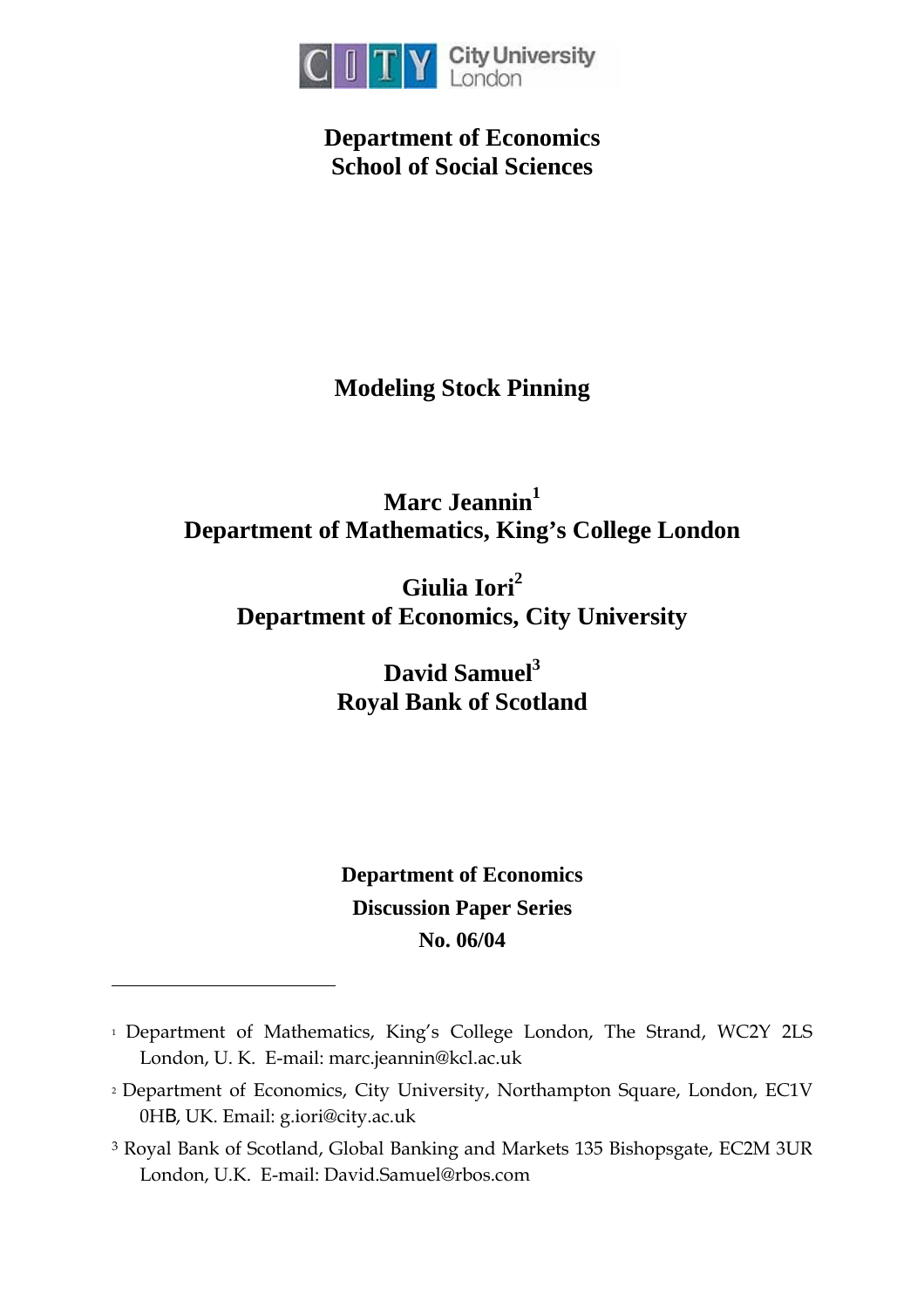

**Department of Economics School of Social Sciences** 

# **Modeling Stock Pinning**

# Marc Jeannin<sup>1</sup> **Department of Mathematics, King's College London**

# **Giulia Iori2 Department of Economics, City University**

David Samuel<sup>3</sup> **Royal Bank of Scotland** 

# **Department of Economics Discussion Paper Series No. 06/04**

 $\overline{a}$ 

<sup>&</sup>lt;sup>1</sup> Department of Mathematics, King's College London, The Strand, WC2Y 2LS London, U. K. E-mail: marc.jeannin@kcl.ac.uk

<sup>2</sup> Department of Economics, City University, Northampton Square, London, EC1V 0HB, UK. Email: g.iori@city.ac.uk

<sup>3</sup> Royal Bank of Scotland, Global Banking and Markets 135 Bishopsgate, EC2M 3UR London, U.K. E-mail: David.Samuel@rbos.com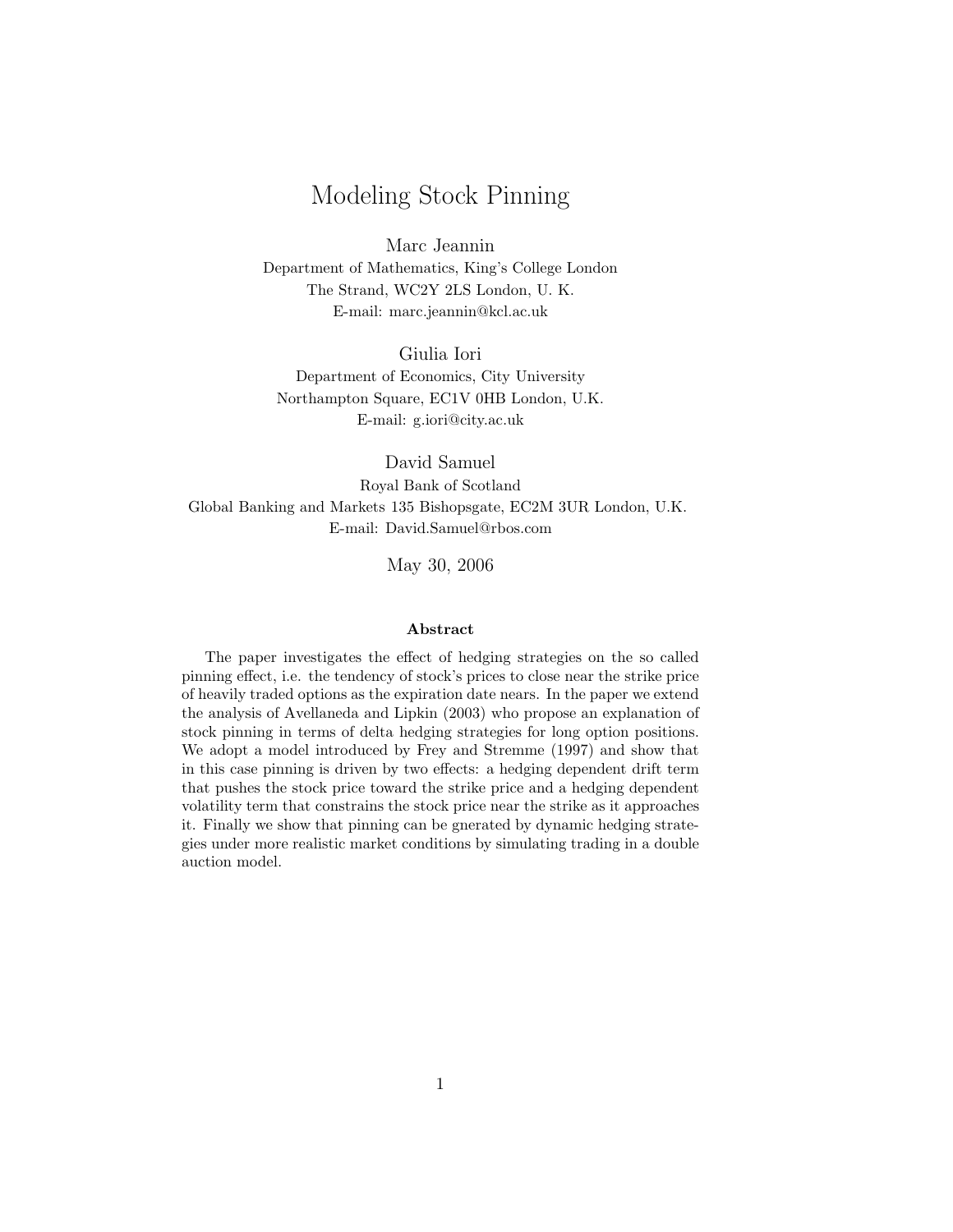## Modeling Stock Pinning

Marc Jeannin Department of Mathematics, King's College London The Strand, WC2Y 2LS London, U. K. E-mail: marc.jeannin@kcl.ac.uk

Giulia Iori Department of Economics, City University Northampton Square, EC1V 0HB London, U.K. E-mail: g.iori@city.ac.uk

David Samuel Royal Bank of Scotland Global Banking and Markets 135 Bishopsgate, EC2M 3UR London, U.K. E-mail: David.Samuel@rbos.com

May 30, 2006

#### Abstract

The paper investigates the effect of hedging strategies on the so called pinning effect, i.e. the tendency of stock's prices to close near the strike price of heavily traded options as the expiration date nears. In the paper we extend the analysis of Avellaneda and Lipkin (2003) who propose an explanation of stock pinning in terms of delta hedging strategies for long option positions. We adopt a model introduced by Frey and Stremme (1997) and show that in this case pinning is driven by two effects: a hedging dependent drift term that pushes the stock price toward the strike price and a hedging dependent volatility term that constrains the stock price near the strike as it approaches it. Finally we show that pinning can be gnerated by dynamic hedging strategies under more realistic market conditions by simulating trading in a double auction model.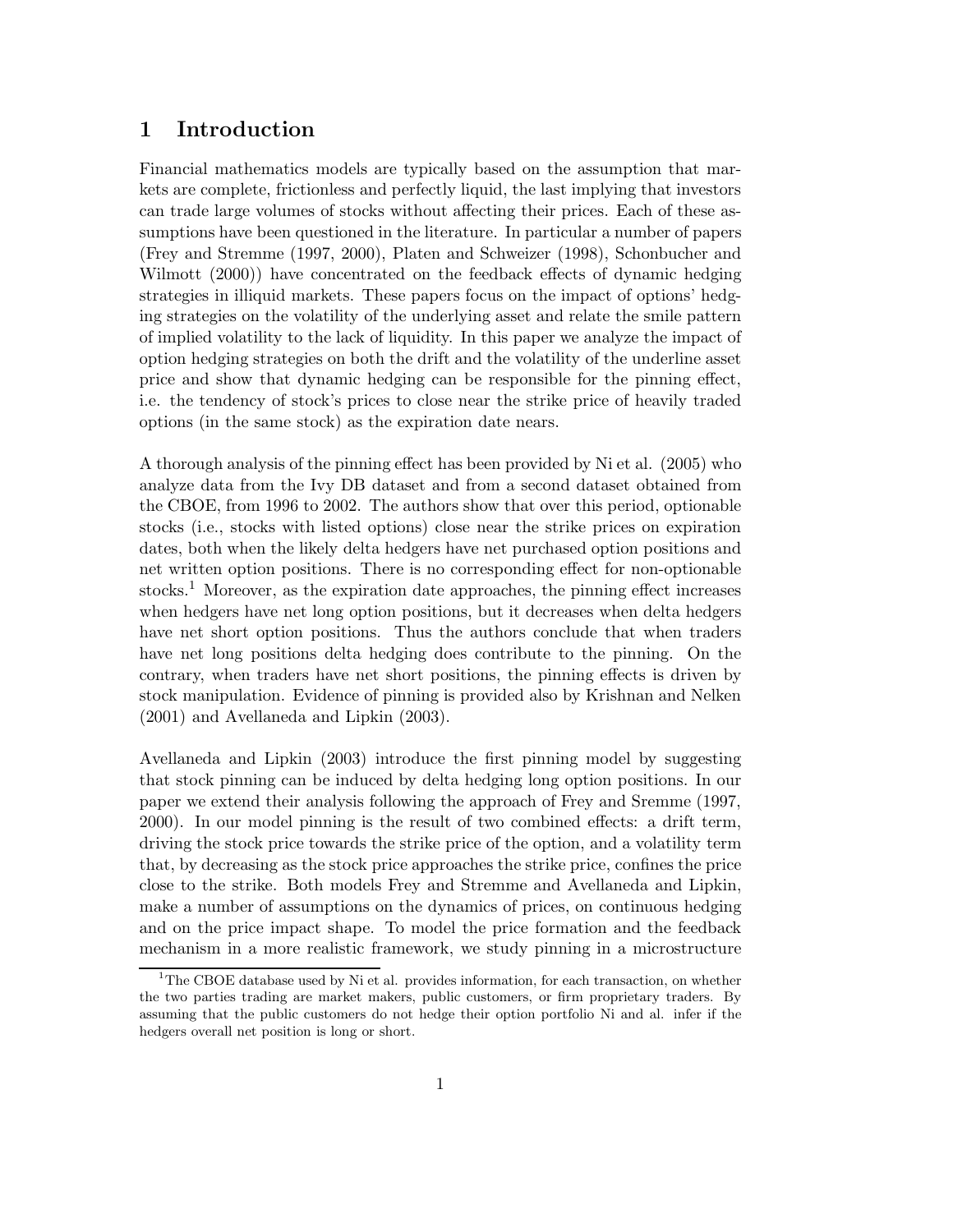### 1 Introduction

Financial mathematics models are typically based on the assumption that markets are complete, frictionless and perfectly liquid, the last implying that investors can trade large volumes of stocks without affecting their prices. Each of these assumptions have been questioned in the literature. In particular a number of papers (Frey and Stremme (1997, 2000), Platen and Schweizer (1998), Schonbucher and Wilmott (2000)) have concentrated on the feedback effects of dynamic hedging strategies in illiquid markets. These papers focus on the impact of options' hedging strategies on the volatility of the underlying asset and relate the smile pattern of implied volatility to the lack of liquidity. In this paper we analyze the impact of option hedging strategies on both the drift and the volatility of the underline asset price and show that dynamic hedging can be responsible for the pinning effect, i.e. the tendency of stock's prices to close near the strike price of heavily traded options (in the same stock) as the expiration date nears.

A thorough analysis of the pinning effect has been provided by Ni et al. (2005) who analyze data from the Ivy DB dataset and from a second dataset obtained from the CBOE, from 1996 to 2002. The authors show that over this period, optionable stocks (i.e., stocks with listed options) close near the strike prices on expiration dates, both when the likely delta hedgers have net purchased option positions and net written option positions. There is no corresponding effect for non-optionable stocks.<sup>1</sup> Moreover, as the expiration date approaches, the pinning effect increases when hedgers have net long option positions, but it decreases when delta hedgers have net short option positions. Thus the authors conclude that when traders have net long positions delta hedging does contribute to the pinning. On the contrary, when traders have net short positions, the pinning effects is driven by stock manipulation. Evidence of pinning is provided also by Krishnan and Nelken (2001) and Avellaneda and Lipkin (2003).

Avellaneda and Lipkin (2003) introduce the first pinning model by suggesting that stock pinning can be induced by delta hedging long option positions. In our paper we extend their analysis following the approach of Frey and Sremme (1997, 2000). In our model pinning is the result of two combined effects: a drift term, driving the stock price towards the strike price of the option, and a volatility term that, by decreasing as the stock price approaches the strike price, confines the price close to the strike. Both models Frey and Stremme and Avellaneda and Lipkin, make a number of assumptions on the dynamics of prices, on continuous hedging and on the price impact shape. To model the price formation and the feedback mechanism in a more realistic framework, we study pinning in a microstructure

<sup>&</sup>lt;sup>1</sup>The CBOE database used by Ni et al. provides information, for each transaction, on whether the two parties trading are market makers, public customers, or firm proprietary traders. By assuming that the public customers do not hedge their option portfolio Ni and al. infer if the hedgers overall net position is long or short.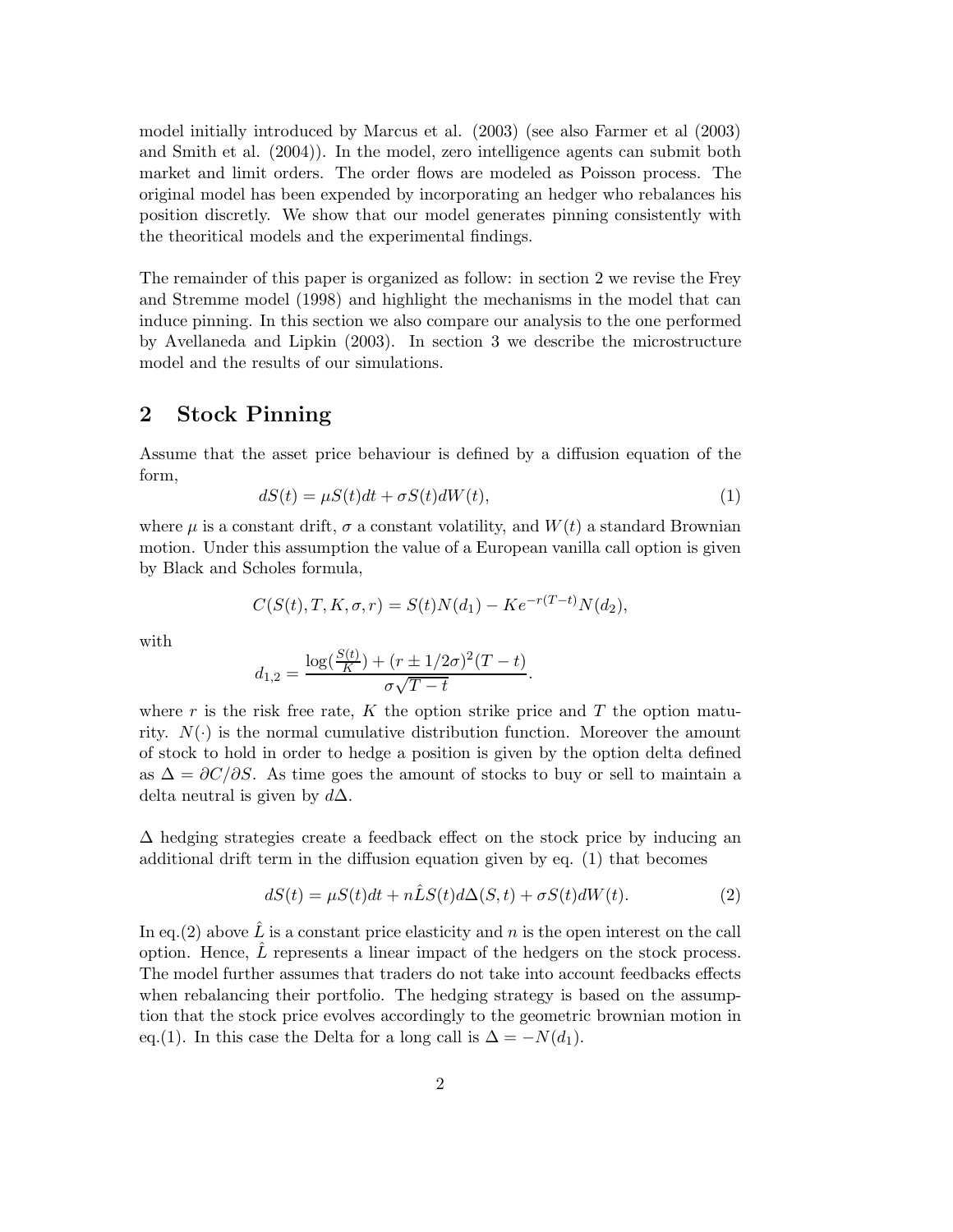model initially introduced by Marcus et al. (2003) (see also Farmer et al (2003) and Smith et al. (2004)). In the model, zero intelligence agents can submit both market and limit orders. The order flows are modeled as Poisson process. The original model has been expended by incorporating an hedger who rebalances his position discretly. We show that our model generates pinning consistently with the theoritical models and the experimental findings.

The remainder of this paper is organized as follow: in section 2 we revise the Frey and Stremme model (1998) and highlight the mechanisms in the model that can induce pinning. In this section we also compare our analysis to the one performed by Avellaneda and Lipkin (2003). In section 3 we describe the microstructure model and the results of our simulations.

## 2 Stock Pinning

Assume that the asset price behaviour is defined by a diffusion equation of the form,

$$
dS(t) = \mu S(t)dt + \sigma S(t)dW(t),
$$
\n(1)

where  $\mu$  is a constant drift,  $\sigma$  a constant volatility, and  $W(t)$  a standard Brownian motion. Under this assumption the value of a European vanilla call option is given by Black and Scholes formula,

$$
C(S(t), T, K, \sigma, r) = S(t)N(d_1) - Ke^{-r(T-t)}N(d_2),
$$

with

$$
d_{1,2} = \frac{\log(\frac{S(t)}{K}) + (r \pm 1/2\sigma)^2 (T - t)}{\sigma\sqrt{T - t}}.
$$

where r is the risk free rate, K the option strike price and T the option maturity.  $N(\cdot)$  is the normal cumulative distribution function. Moreover the amount of stock to hold in order to hedge a position is given by the option delta defined as  $\Delta = \partial C/\partial S$ . As time goes the amount of stocks to buy or sell to maintain a delta neutral is given by  $d\Delta$ .

 $\Delta$  hedging strategies create a feedback effect on the stock price by inducing an additional drift term in the diffusion equation given by eq. (1) that becomes

$$
dS(t) = \mu S(t)dt + n\hat{L}S(t)d\Delta(S,t) + \sigma S(t)dW(t).
$$
\n(2)

In eq.(2) above  $\hat{L}$  is a constant price elasticity and n is the open interest on the call option. Hence,  $L$  represents a linear impact of the hedgers on the stock process. The model further assumes that traders do not take into account feedbacks effects when rebalancing their portfolio. The hedging strategy is based on the assumption that the stock price evolves accordingly to the geometric brownian motion in eq.(1). In this case the Delta for a long call is  $\Delta = -N(d_1)$ .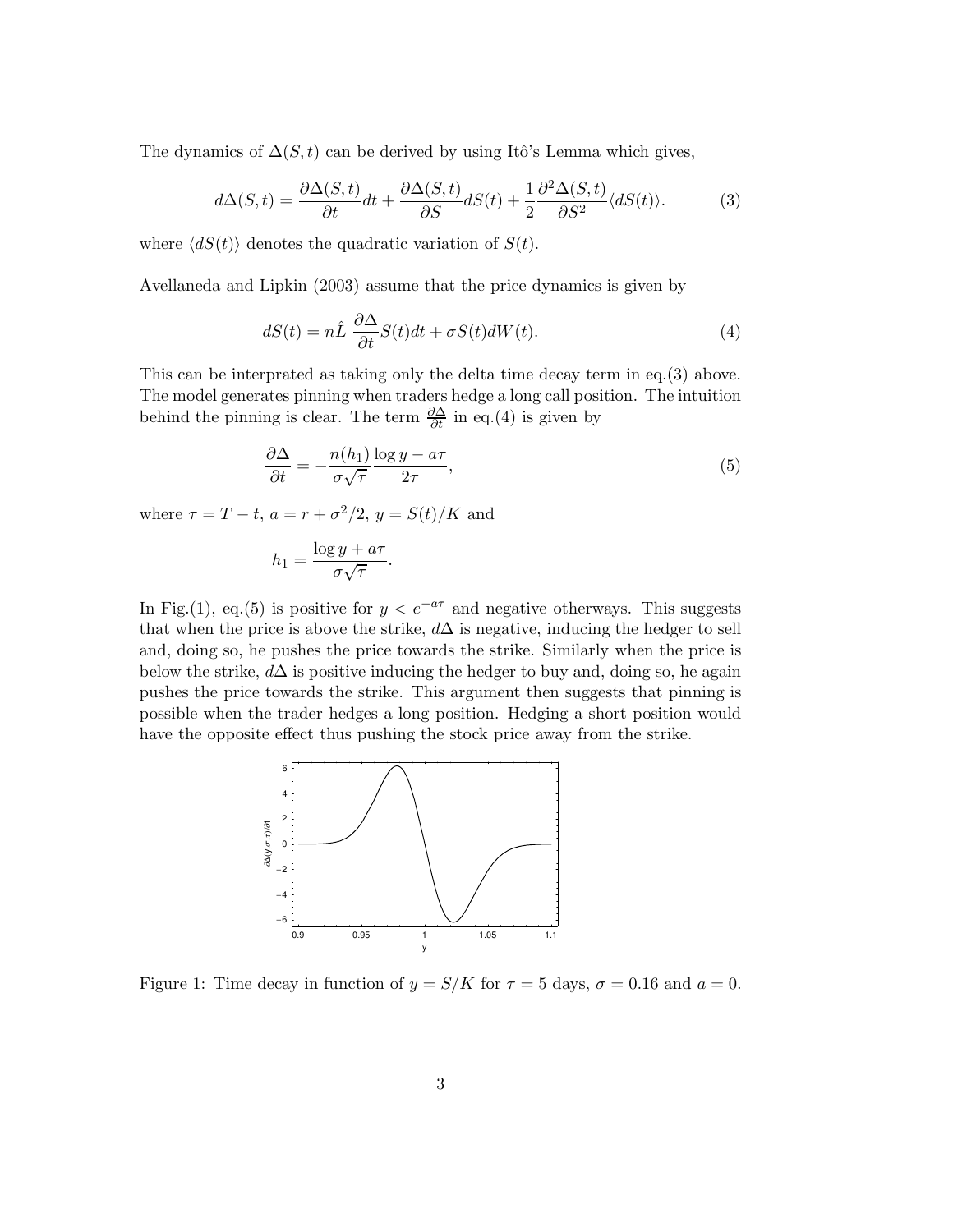The dynamics of  $\Delta(S, t)$  can be derived by using Itô's Lemma which gives,

$$
d\Delta(S,t) = \frac{\partial \Delta(S,t)}{\partial t}dt + \frac{\partial \Delta(S,t)}{\partial S}dS(t) + \frac{1}{2}\frac{\partial^2 \Delta(S,t)}{\partial S^2} \langle dS(t) \rangle.
$$
 (3)

where  $\langle dS(t) \rangle$  denotes the quadratic variation of  $S(t)$ .

Avellaneda and Lipkin (2003) assume that the price dynamics is given by

$$
dS(t) = n\hat{L}\frac{\partial \Delta}{\partial t}S(t)dt + \sigma S(t)dW(t).
$$
\n(4)

This can be interprated as taking only the delta time decay term in eq.(3) above. The model generates pinning when traders hedge a long call position. The intuition behind the pinning is clear. The term  $\frac{\partial \Delta}{\partial t}$  in eq.(4) is given by

$$
\frac{\partial \Delta}{\partial t} = -\frac{n(h_1)}{\sigma \sqrt{\tau}} \frac{\log y - a\tau}{2\tau},\tag{5}
$$

where  $\tau = T - t$ ,  $a = r + \frac{\sigma^2}{2}$ ,  $y = S(t)/K$  and

$$
h_1 = \frac{\log y + a\tau}{\sigma\sqrt{\tau}}.
$$

In Fig.(1), eq.(5) is positive for  $y < e^{-a\tau}$  and negative otherways. This suggests that when the price is above the strike,  $d\Delta$  is negative, inducing the hedger to sell and, doing so, he pushes the price towards the strike. Similarly when the price is below the strike,  $d\Delta$  is positive inducing the hedger to buy and, doing so, he again pushes the price towards the strike. This argument then suggests that pinning is possible when the trader hedges a long position. Hedging a short position would have the opposite effect thus pushing the stock price away from the strike.



Figure 1: Time decay in function of  $y = S/K$  for  $\tau = 5$  days,  $\sigma = 0.16$  and  $a = 0$ .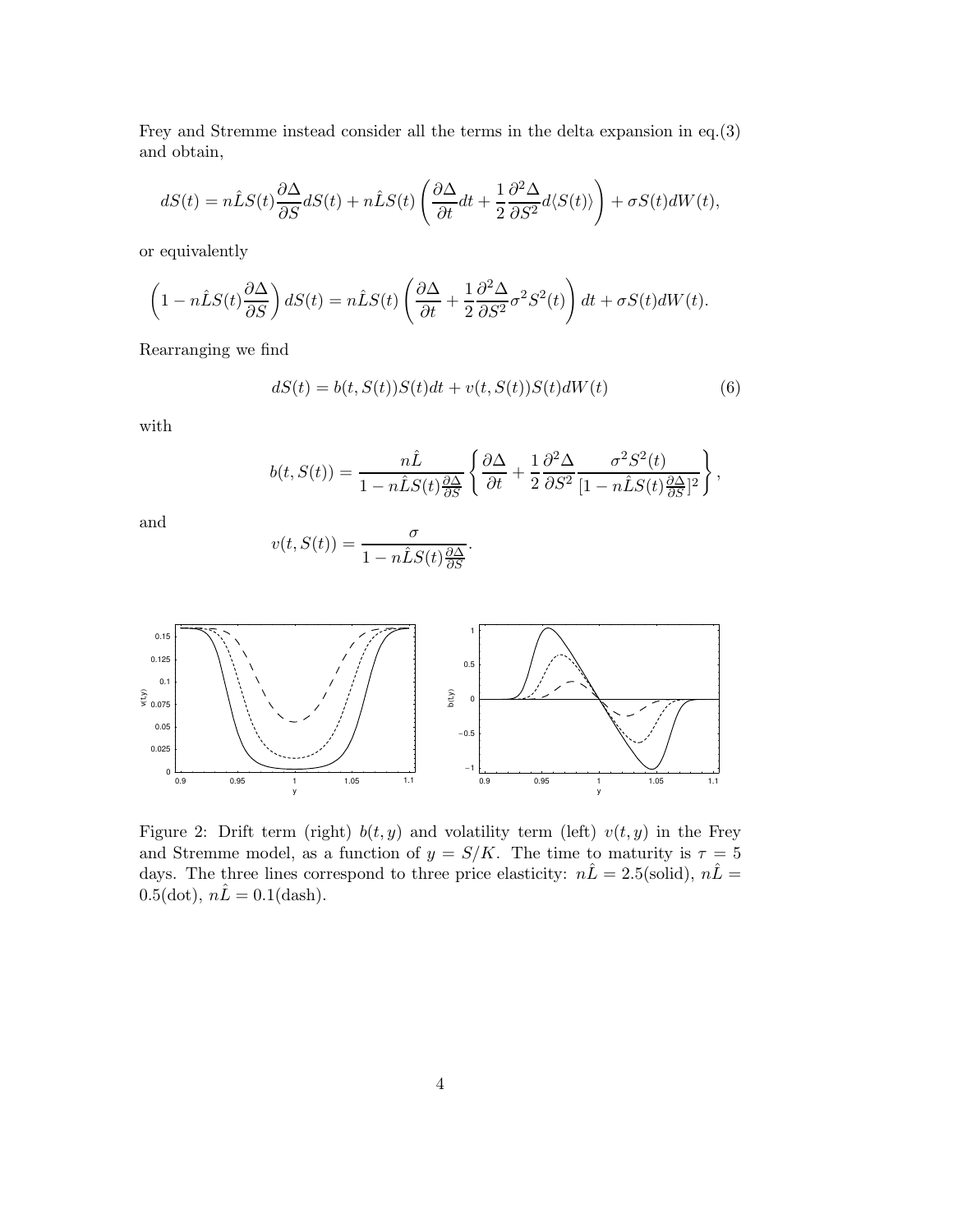Frey and Stremme instead consider all the terms in the delta expansion in eq.(3) and obtain,

$$
dS(t) = n\hat{L}S(t)\frac{\partial\Delta}{\partial S}dS(t) + n\hat{L}S(t)\left(\frac{\partial\Delta}{\partial t}dt + \frac{1}{2}\frac{\partial^2\Delta}{\partial S^2}d\langle S(t)\rangle\right) + \sigma S(t)dW(t),
$$

or equivalently

$$
\left(1 - n\hat{L}S(t)\frac{\partial\Delta}{\partial S}\right)dS(t) = n\hat{L}S(t)\left(\frac{\partial\Delta}{\partial t} + \frac{1}{2}\frac{\partial^2\Delta}{\partial S^2}\sigma^2S^2(t)\right)dt + \sigma S(t)dW(t).
$$

Rearranging we find

$$
dS(t) = b(t, S(t))S(t)dt + v(t, S(t))S(t)dW(t)
$$
\n
$$
(6)
$$

with

$$
b(t,S(t))=\frac{n\hat{L}}{1-n\hat{L}S(t)\frac{\partial\Delta}{\partial S}}\left\{\frac{\partial\Delta}{\partial t}+\frac{1}{2}\frac{\partial^2\Delta}{\partial S^2}\frac{\sigma^2S^2(t)}{[1-n\hat{L}S(t)\frac{\partial\Delta}{\partial S}]^2}\right\},
$$

.

and

$$
v(t, S(t)) = \frac{\sigma}{1 - n\hat{L}S(t)\frac{\partial \Delta}{\partial S}}
$$



Figure 2: Drift term (right)  $b(t, y)$  and volatility term (left)  $v(t, y)$  in the Frey and Stremme model, as a function of  $y = S/K$ . The time to maturity is  $\tau = 5$ days. The three lines correspond to three price elasticity:  $n\hat{L} = 2.5$ (solid),  $n\hat{L} =$ 0.5(dot),  $n\hat{L} = 0.1$ (dash).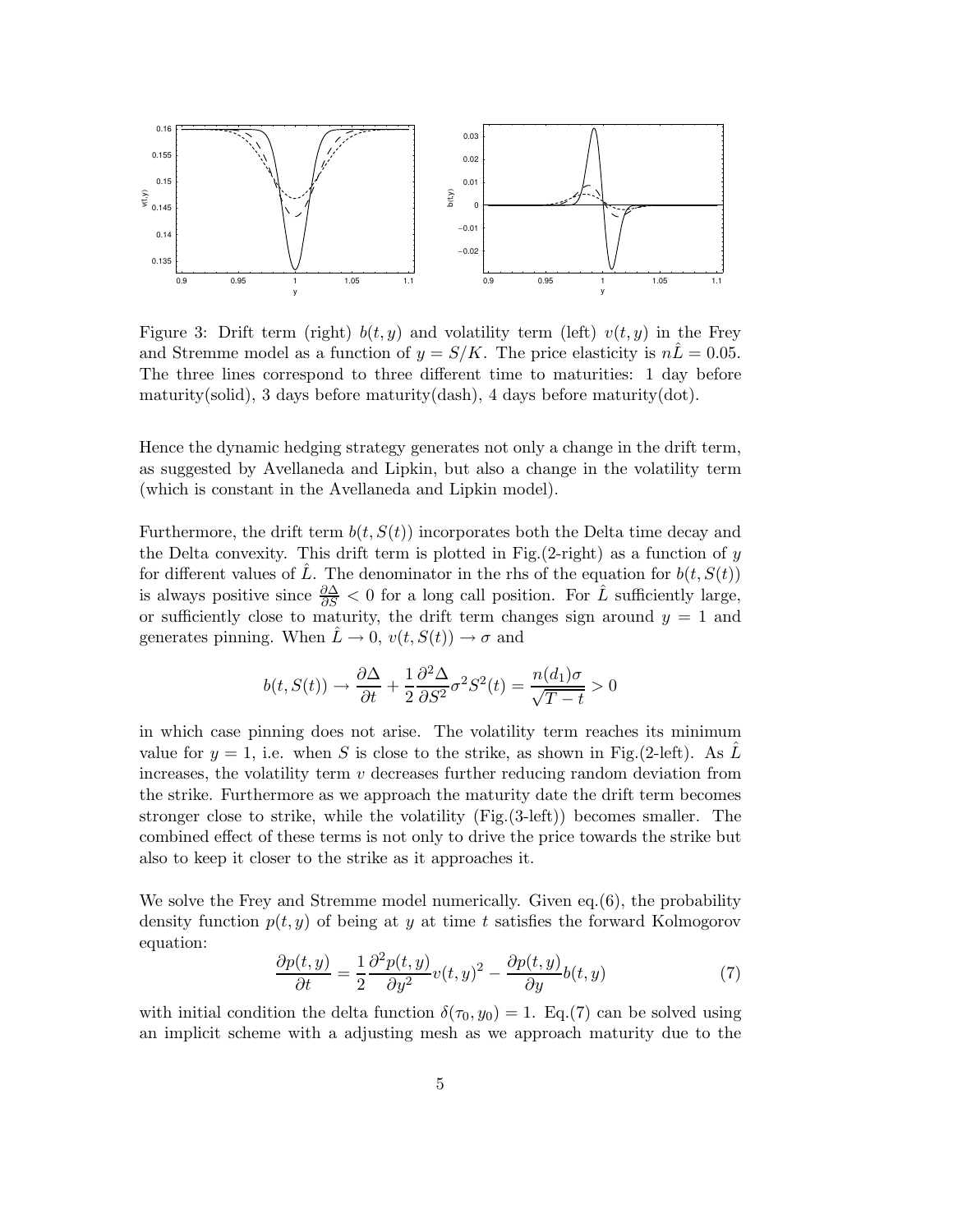

Figure 3: Drift term (right)  $b(t, y)$  and volatility term (left)  $v(t, y)$  in the Frey and Stremme model as a function of  $y = S/K$ . The price elasticity is  $n\hat{L} = 0.05$ . The three lines correspond to three different time to maturities: 1 day before maturity(solid), 3 days before maturity(dash), 4 days before maturity(dot).

Hence the dynamic hedging strategy generates not only a change in the drift term, as suggested by Avellaneda and Lipkin, but also a change in the volatility term (which is constant in the Avellaneda and Lipkin model).

Furthermore, the drift term  $b(t, S(t))$  incorporates both the Delta time decay and the Delta convexity. This drift term is plotted in Fig. $(2\text{-right})$  as a function of y for different values of L. The denominator in the rhs of the equation for  $b(t, S(t))$ is always positive since  $\frac{\partial \Delta}{\partial S} < 0$  for a long call position. For  $\hat{L}$  sufficiently large, or sufficiently close to maturity, the drift term changes sign around  $y = 1$  and generates pinning. When  $L \to 0$ ,  $v(t, S(t)) \to \sigma$  and

$$
b(t, S(t)) \rightarrow \frac{\partial \Delta}{\partial t} + \frac{1}{2} \frac{\partial^2 \Delta}{\partial S^2} \sigma^2 S^2(t) = \frac{n(d_1)\sigma}{\sqrt{T - t}} > 0
$$

in which case pinning does not arise. The volatility term reaches its minimum value for  $y = 1$ , i.e. when S is close to the strike, as shown in Fig.(2-left). As L increases, the volatility term  $v$  decreases further reducing random deviation from the strike. Furthermore as we approach the maturity date the drift term becomes stronger close to strike, while the volatility (Fig.(3-left)) becomes smaller. The combined effect of these terms is not only to drive the price towards the strike but also to keep it closer to the strike as it approaches it.

We solve the Frey and Stremme model numerically. Given eq.(6), the probability density function  $p(t, y)$  of being at y at time t satisfies the forward Kolmogorov equation:

$$
\frac{\partial p(t,y)}{\partial t} = \frac{1}{2} \frac{\partial^2 p(t,y)}{\partial y^2} v(t,y)^2 - \frac{\partial p(t,y)}{\partial y} b(t,y) \tag{7}
$$

with initial condition the delta function  $\delta(\tau_0, y_0) = 1$ . Eq.(7) can be solved using an implicit scheme with a adjusting mesh as we approach maturity due to the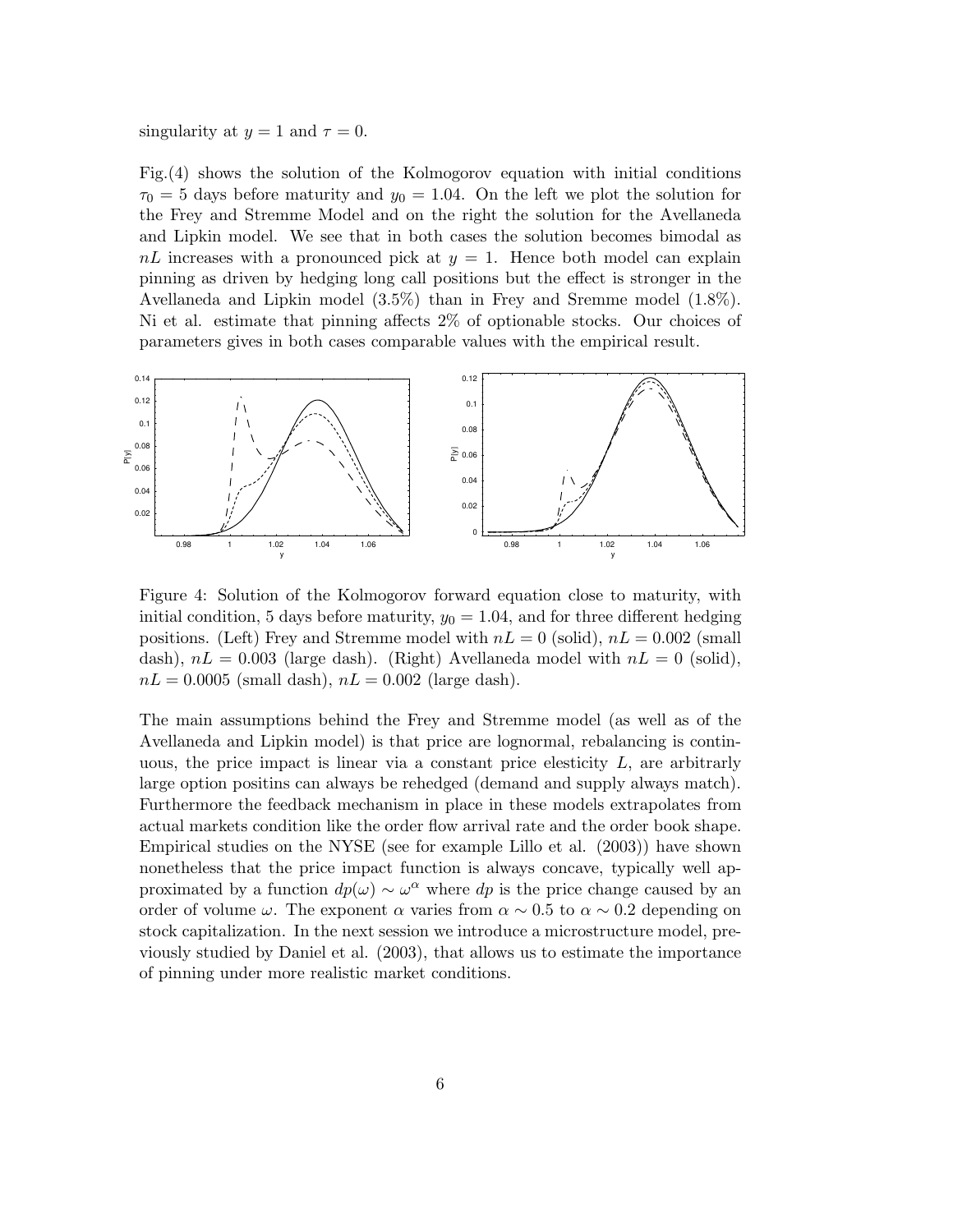singularity at  $y = 1$  and  $\tau = 0$ .

Fig.(4) shows the solution of the Kolmogorov equation with initial conditions  $\tau_0 = 5$  days before maturity and  $y_0 = 1.04$ . On the left we plot the solution for the Frey and Stremme Model and on the right the solution for the Avellaneda and Lipkin model. We see that in both cases the solution becomes bimodal as  $nL$  increases with a pronounced pick at  $y = 1$ . Hence both model can explain pinning as driven by hedging long call positions but the effect is stronger in the Avellaneda and Lipkin model (3.5%) than in Frey and Sremme model (1.8%). Ni et al. estimate that pinning affects 2% of optionable stocks. Our choices of parameters gives in both cases comparable values with the empirical result.



Figure 4: Solution of the Kolmogorov forward equation close to maturity, with initial condition, 5 days before maturity,  $y_0 = 1.04$ , and for three different hedging positions. (Left) Frey and Stremme model with  $nL = 0$  (solid),  $nL = 0.002$  (small dash),  $nL = 0.003$  (large dash). (Right) Avellaneda model with  $nL = 0$  (solid),  $nL = 0.0005$  (small dash),  $nL = 0.002$  (large dash).

The main assumptions behind the Frey and Stremme model (as well as of the Avellaneda and Lipkin model) is that price are lognormal, rebalancing is continuous, the price impact is linear via a constant price elesticity  $L$ , are arbitrarly large option positins can always be rehedged (demand and supply always match). Furthermore the feedback mechanism in place in these models extrapolates from actual markets condition like the order flow arrival rate and the order book shape. Empirical studies on the NYSE (see for example Lillo et al. (2003)) have shown nonetheless that the price impact function is always concave, typically well approximated by a function  $dp(\omega) \sim \omega^{\alpha}$  where  $dp$  is the price change caused by an order of volume  $\omega$ . The exponent  $\alpha$  varies from  $\alpha \sim 0.5$  to  $\alpha \sim 0.2$  depending on stock capitalization. In the next session we introduce a microstructure model, previously studied by Daniel et al. (2003), that allows us to estimate the importance of pinning under more realistic market conditions.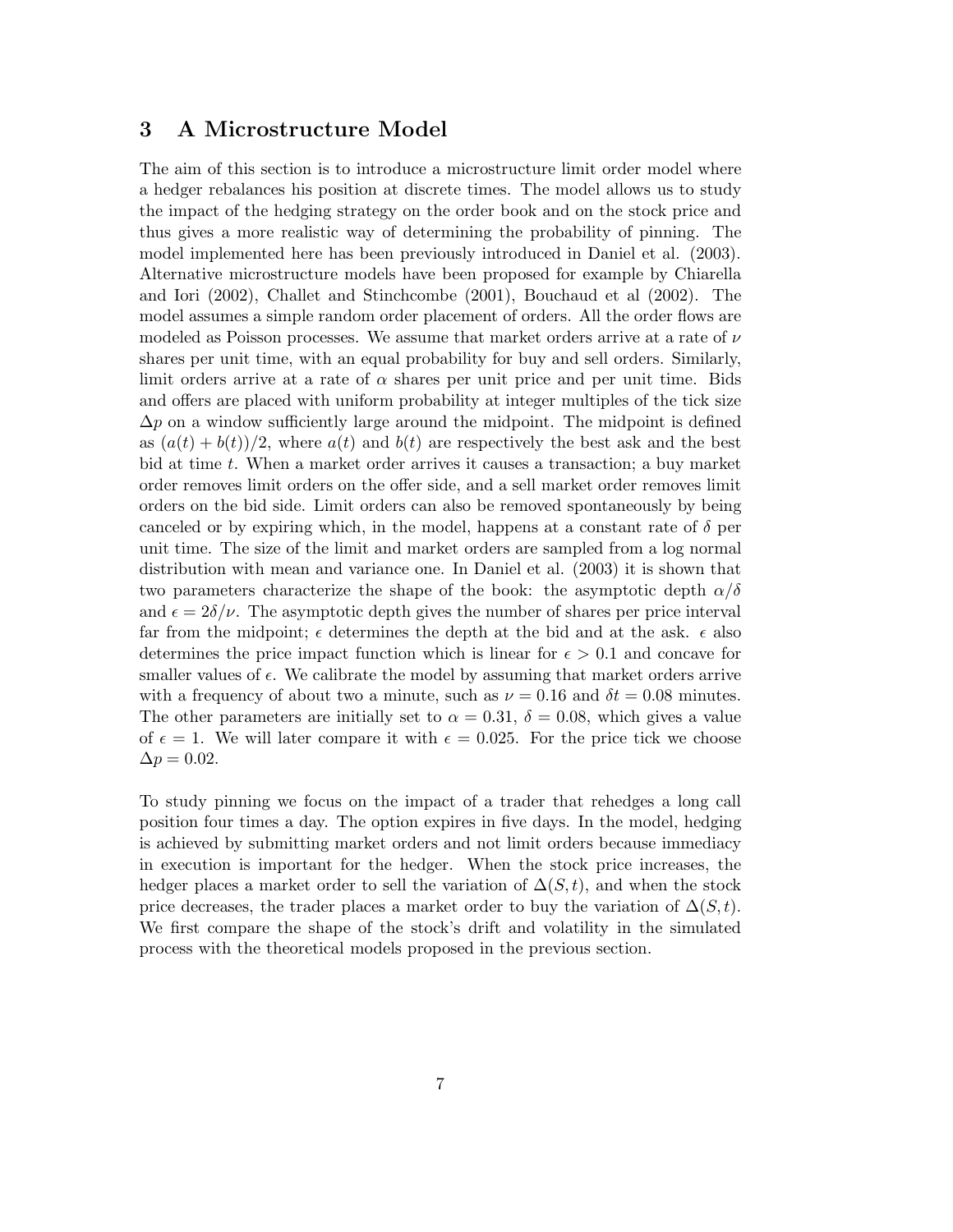### 3 A Microstructure Model

The aim of this section is to introduce a microstructure limit order model where a hedger rebalances his position at discrete times. The model allows us to study the impact of the hedging strategy on the order book and on the stock price and thus gives a more realistic way of determining the probability of pinning. The model implemented here has been previously introduced in Daniel et al. (2003). Alternative microstructure models have been proposed for example by Chiarella and Iori (2002), Challet and Stinchcombe (2001), Bouchaud et al (2002). The model assumes a simple random order placement of orders. All the order flows are modeled as Poisson processes. We assume that market orders arrive at a rate of  $\nu$ shares per unit time, with an equal probability for buy and sell orders. Similarly, limit orders arrive at a rate of  $\alpha$  shares per unit price and per unit time. Bids and offers are placed with uniform probability at integer multiples of the tick size  $\Delta p$  on a window sufficiently large around the midpoint. The midpoint is defined as  $(a(t) + b(t))/2$ , where  $a(t)$  and  $b(t)$  are respectively the best ask and the best bid at time t. When a market order arrives it causes a transaction; a buy market order removes limit orders on the offer side, and a sell market order removes limit orders on the bid side. Limit orders can also be removed spontaneously by being canceled or by expiring which, in the model, happens at a constant rate of  $\delta$  per unit time. The size of the limit and market orders are sampled from a log normal distribution with mean and variance one. In Daniel et al. (2003) it is shown that two parameters characterize the shape of the book: the asymptotic depth  $\alpha/\delta$ and  $\epsilon = 2\delta/\nu$ . The asymptotic depth gives the number of shares per price interval far from the midpoint;  $\epsilon$  determines the depth at the bid and at the ask.  $\epsilon$  also determines the price impact function which is linear for  $\epsilon > 0.1$  and concave for smaller values of  $\epsilon$ . We calibrate the model by assuming that market orders arrive with a frequency of about two a minute, such as  $\nu = 0.16$  and  $\delta t = 0.08$  minutes. The other parameters are initially set to  $\alpha = 0.31, \delta = 0.08$ , which gives a value of  $\epsilon = 1$ . We will later compare it with  $\epsilon = 0.025$ . For the price tick we choose  $\Delta p = 0.02.$ 

To study pinning we focus on the impact of a trader that rehedges a long call position four times a day. The option expires in five days. In the model, hedging is achieved by submitting market orders and not limit orders because immediacy in execution is important for the hedger. When the stock price increases, the hedger places a market order to sell the variation of  $\Delta(S,t)$ , and when the stock price decreases, the trader places a market order to buy the variation of  $\Delta(S, t)$ . We first compare the shape of the stock's drift and volatility in the simulated process with the theoretical models proposed in the previous section.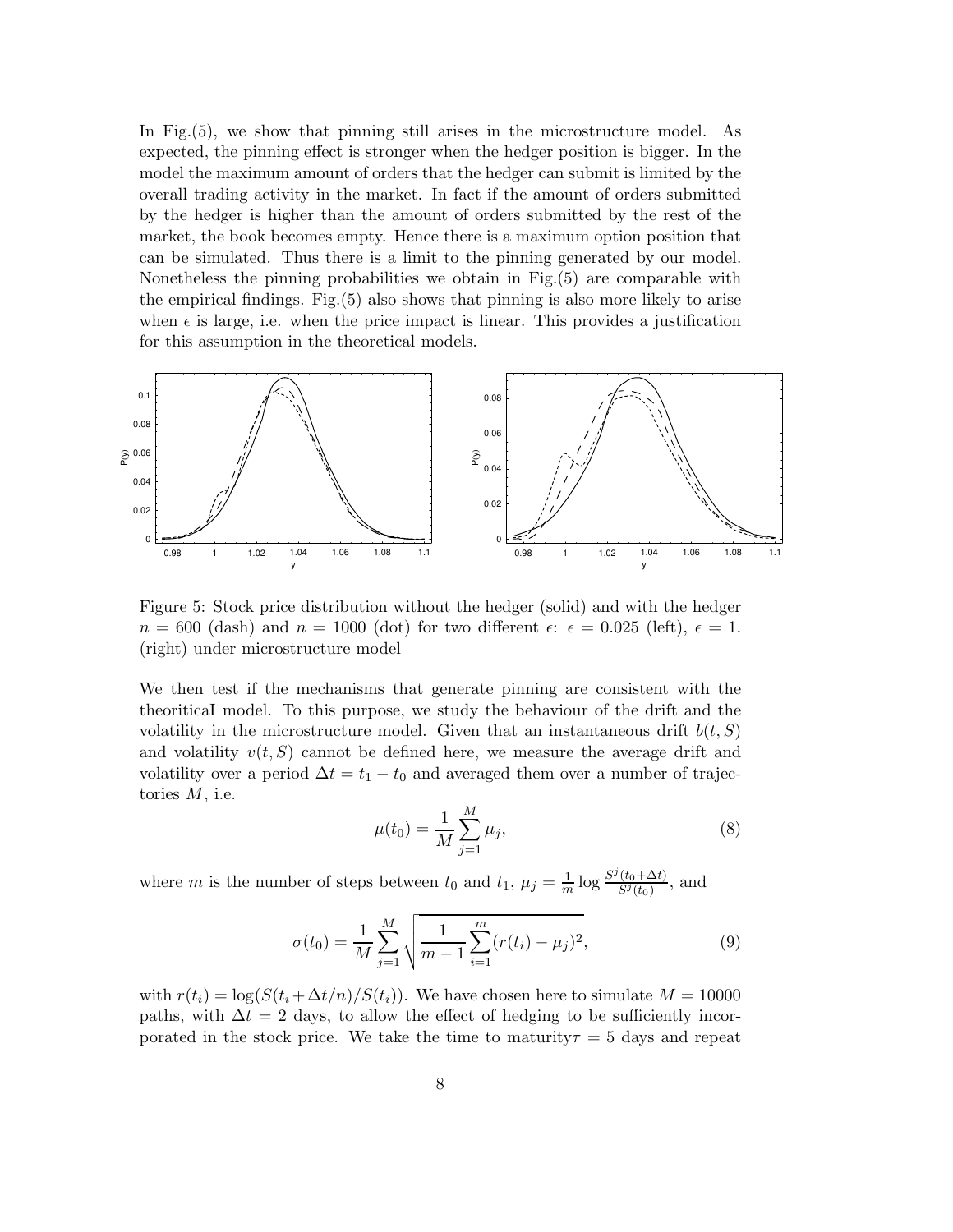In Fig.(5), we show that pinning still arises in the microstructure model. As expected, the pinning effect is stronger when the hedger position is bigger. In the model the maximum amount of orders that the hedger can submit is limited by the overall trading activity in the market. In fact if the amount of orders submitted by the hedger is higher than the amount of orders submitted by the rest of the market, the book becomes empty. Hence there is a maximum option position that can be simulated. Thus there is a limit to the pinning generated by our model. Nonetheless the pinning probabilities we obtain in Fig.(5) are comparable with the empirical findings. Fig.(5) also shows that pinning is also more likely to arise when  $\epsilon$  is large, i.e. when the price impact is linear. This provides a justification for this assumption in the theoretical models.



Figure 5: Stock price distribution without the hedger (solid) and with the hedger  $n = 600$  (dash) and  $n = 1000$  (dot) for two different  $\epsilon: \epsilon = 0.025$  (left),  $\epsilon = 1$ . (right) under microstructure model

We then test if the mechanisms that generate pinning are consistent with the theoriticaI model. To this purpose, we study the behaviour of the drift and the volatility in the microstructure model. Given that an instantaneous drift  $b(t, S)$ and volatility  $v(t, S)$  cannot be defined here, we measure the average drift and volatility over a period  $\Delta t = t_1 - t_0$  and averaged them over a number of trajectories  $M$ , i.e.

$$
\mu(t_0) = \frac{1}{M} \sum_{j=1}^{M} \mu_j,
$$
\n(8)

where m is the number of steps between  $t_0$  and  $t_1$ ,  $\mu_j = \frac{1}{m} \log \frac{S^j(t_0 + \Delta t)}{S^j(t_0)}$  $\frac{(t_0+\Delta t)}{S^j(t_0)},$  and

$$
\sigma(t_0) = \frac{1}{M} \sum_{j=1}^{M} \sqrt{\frac{1}{m-1} \sum_{i=1}^{m} (r(t_i) - \mu_j)^2},
$$
\n(9)

with  $r(t_i) = \log(S(t_i + \Delta t/n)/S(t_i))$ . We have chosen here to simulate  $M = 10000$ paths, with  $\Delta t = 2$  days, to allow the effect of hedging to be sufficiently incorporated in the stock price. We take the time to maturity  $\tau = 5$  days and repeat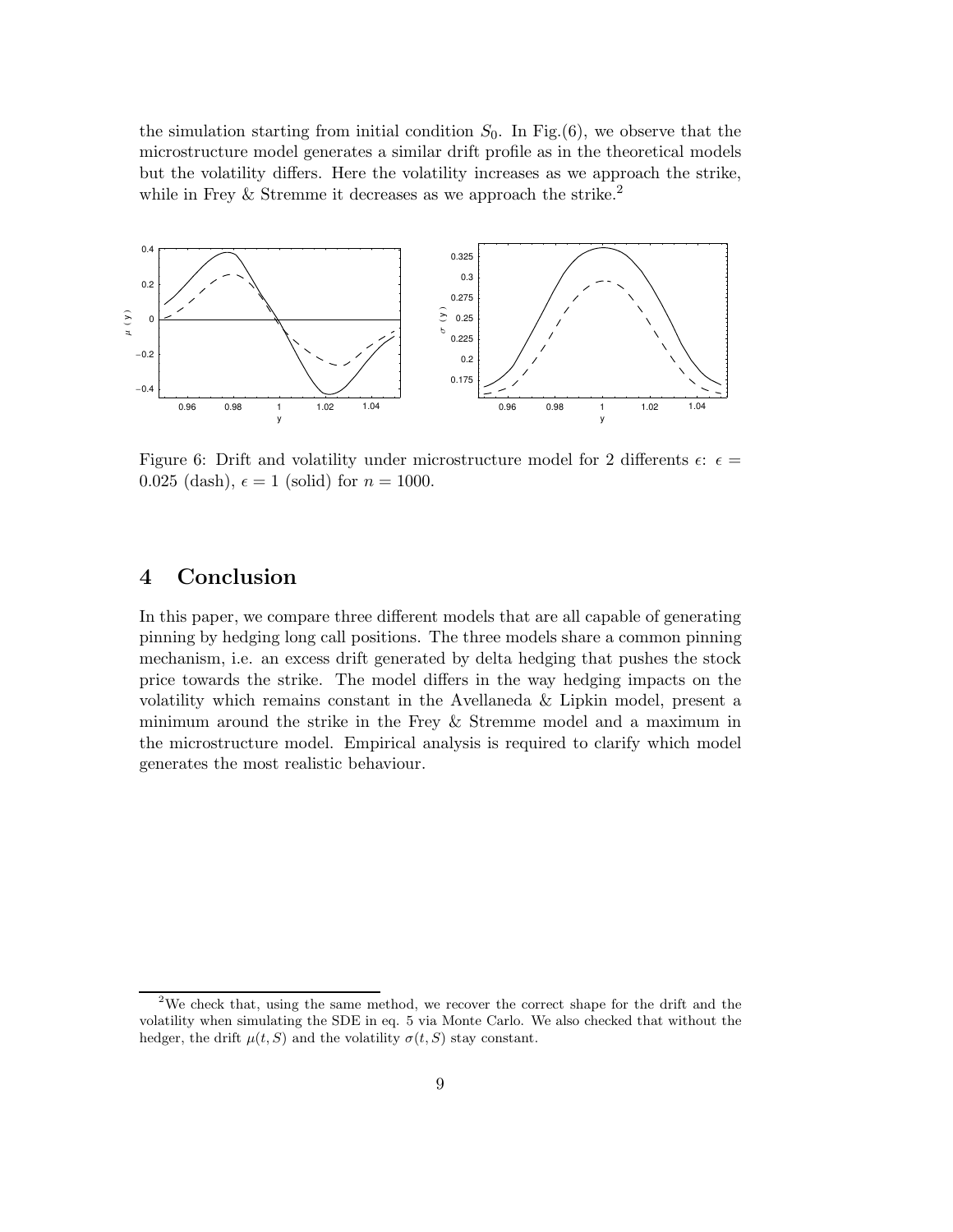the simulation starting from initial condition  $S_0$ . In Fig.(6), we observe that the microstructure model generates a similar drift profile as in the theoretical models but the volatility differs. Here the volatility increases as we approach the strike, while in Frey & Stremme it decreases as we approach the strike.<sup>2</sup>



Figure 6: Drift and volatility under microstructure model for 2 differents  $\epsilon$ :  $\epsilon$  = 0.025 (dash),  $\epsilon = 1$  (solid) for  $n = 1000$ .

## 4 Conclusion

In this paper, we compare three different models that are all capable of generating pinning by hedging long call positions. The three models share a common pinning mechanism, i.e. an excess drift generated by delta hedging that pushes the stock price towards the strike. The model differs in the way hedging impacts on the volatility which remains constant in the Avellaneda & Lipkin model, present a minimum around the strike in the Frey & Stremme model and a maximum in the microstructure model. Empirical analysis is required to clarify which model generates the most realistic behaviour.

<sup>&</sup>lt;sup>2</sup>We check that, using the same method, we recover the correct shape for the drift and the volatility when simulating the SDE in eq. 5 via Monte Carlo. We also checked that without the hedger, the drift  $\mu(t, S)$  and the volatility  $\sigma(t, S)$  stay constant.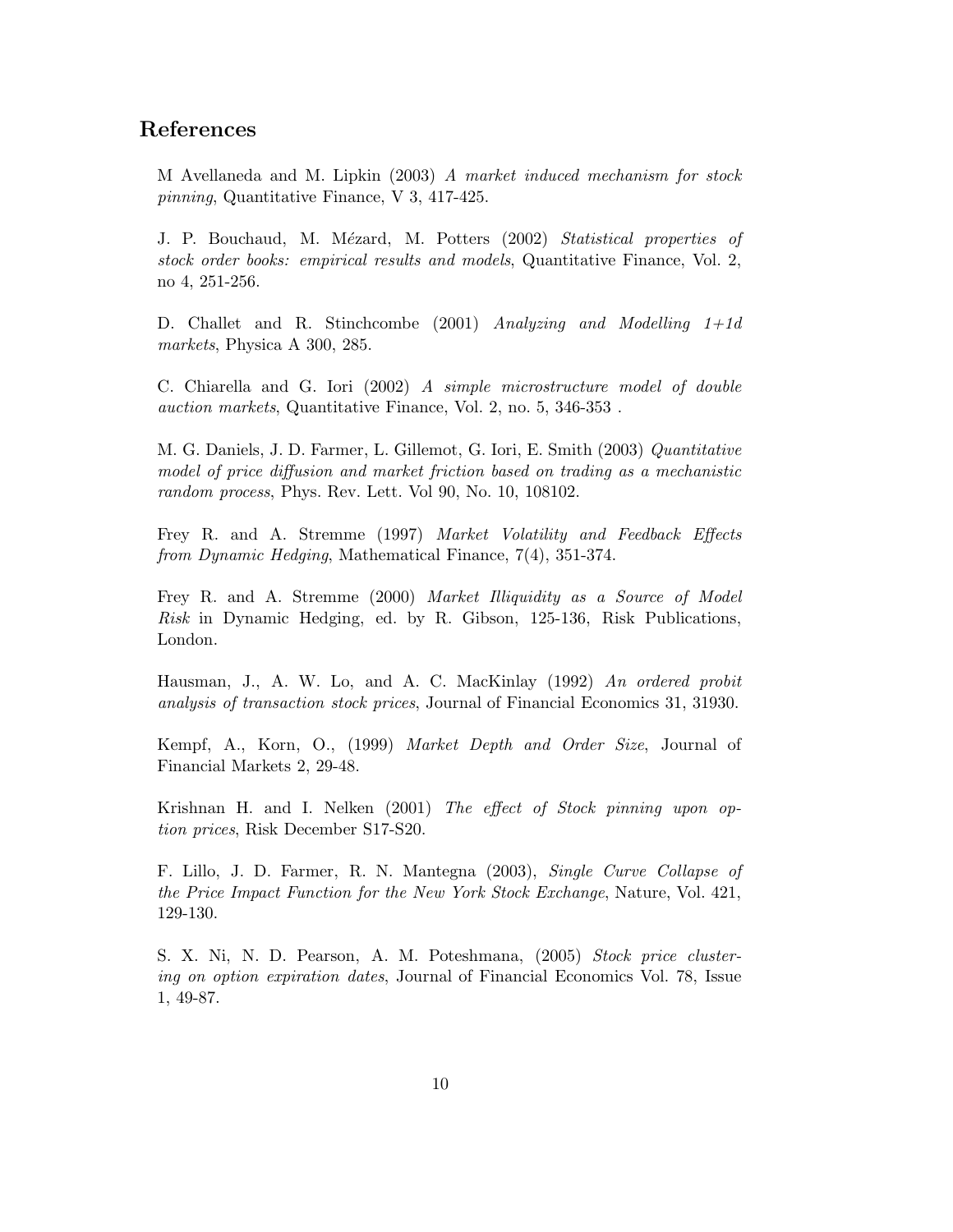### References

M Avellaneda and M. Lipkin (2003) A market induced mechanism for stock pinning, Quantitative Finance, V 3, 417-425.

J. P. Bouchaud, M. Mézard, M. Potters (2002) Statistical properties of stock order books: empirical results and models, Quantitative Finance, Vol. 2, no 4, 251-256.

D. Challet and R. Stinchcombe (2001) Analyzing and Modelling 1+1d markets, Physica A 300, 285.

C. Chiarella and G. Iori (2002) A simple microstructure model of double auction markets, Quantitative Finance, Vol. 2, no. 5, 346-353 .

M. G. Daniels, J. D. Farmer, L. Gillemot, G. Iori, E. Smith (2003) Quantitative model of price diffusion and market friction based on trading as a mechanistic random process, Phys. Rev. Lett. Vol 90, No. 10, 108102.

Frey R. and A. Stremme (1997) Market Volatility and Feedback Effects from Dynamic Hedging, Mathematical Finance, 7(4), 351-374.

Frey R. and A. Stremme (2000) Market Illiquidity as a Source of Model Risk in Dynamic Hedging, ed. by R. Gibson, 125-136, Risk Publications, London.

Hausman, J., A. W. Lo, and A. C. MacKinlay (1992) An ordered probit analysis of transaction stock prices, Journal of Financial Economics 31, 31930.

Kempf, A., Korn, O., (1999) Market Depth and Order Size, Journal of Financial Markets 2, 29-48.

Krishnan H. and I. Nelken (2001) The effect of Stock pinning upon option prices, Risk December S17-S20.

F. Lillo, J. D. Farmer, R. N. Mantegna (2003), Single Curve Collapse of the Price Impact Function for the New York Stock Exchange, Nature, Vol. 421, 129-130.

S. X. Ni, N. D. Pearson, A. M. Poteshmana, (2005) Stock price clustering on option expiration dates, Journal of Financial Economics Vol. 78, Issue 1, 49-87.